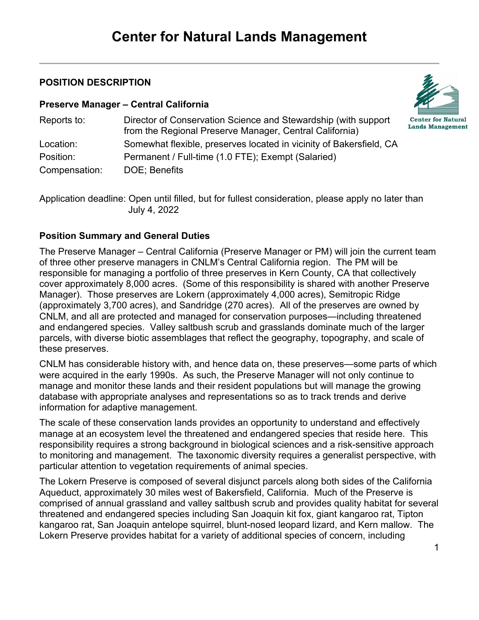# **POSITION DESCRIPTION**

#### **Preserve Manager – Central California**



| Reports to:   | Director of Conservation Science and Stewardship (with support<br>from the Regional Preserve Manager, Central California) |
|---------------|---------------------------------------------------------------------------------------------------------------------------|
| Location:     | Somewhat flexible, preserves located in vicinity of Bakersfield, CA                                                       |
| Position:     | Permanent / Full-time (1.0 FTE); Exempt (Salaried)                                                                        |
| Compensation: | DOE; Benefits                                                                                                             |

Application deadline: Open until filled, but for fullest consideration, please apply no later than July 4, 2022

# **Position Summary and General Duties**

The Preserve Manager – Central California (Preserve Manager or PM) will join the current team of three other preserve managers in CNLM's Central California region. The PM will be responsible for managing a portfolio of three preserves in Kern County, CA that collectively cover approximately 8,000 acres. (Some of this responsibility is shared with another Preserve Manager). Those preserves are Lokern (approximately 4,000 acres), Semitropic Ridge (approximately 3,700 acres), and Sandridge (270 acres). All of the preserves are owned by CNLM, and all are protected and managed for conservation purposes—including threatened and endangered species. Valley saltbush scrub and grasslands dominate much of the larger parcels, with diverse biotic assemblages that reflect the geography, topography, and scale of these preserves.

CNLM has considerable history with, and hence data on, these preserves—some parts of which were acquired in the early 1990s. As such, the Preserve Manager will not only continue to manage and monitor these lands and their resident populations but will manage the growing database with appropriate analyses and representations so as to track trends and derive information for adaptive management.

The scale of these conservation lands provides an opportunity to understand and effectively manage at an ecosystem level the threatened and endangered species that reside here. This responsibility requires a strong background in biological sciences and a risk-sensitive approach to monitoring and management. The taxonomic diversity requires a generalist perspective, with particular attention to vegetation requirements of animal species.

The Lokern Preserve is composed of several disjunct parcels along both sides of the California Aqueduct, approximately 30 miles west of Bakersfield, California. Much of the Preserve is comprised of annual grassland and valley saltbush scrub and provides quality habitat for several threatened and endangered species including San Joaquin kit fox, giant kangaroo rat, Tipton kangaroo rat, San Joaquin antelope squirrel, blunt-nosed leopard lizard, and Kern mallow. The Lokern Preserve provides habitat for a variety of additional species of concern, including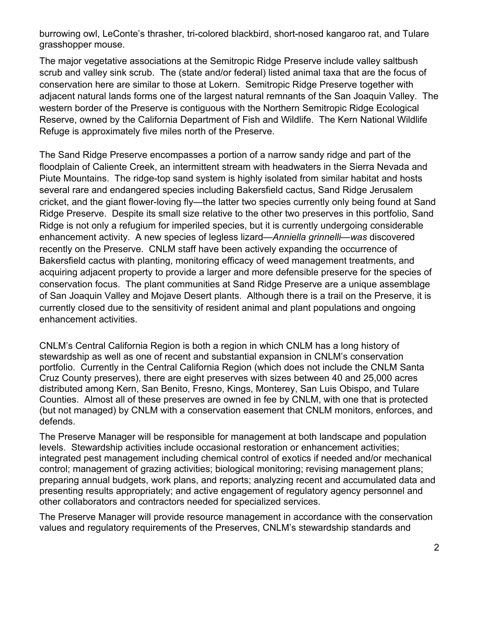burrowing owl, LeConte's thrasher, tri-colored blackbird, short-nosed kangaroo rat, and Tulare grasshopper mouse.

The major vegetative associations at the Semitropic Ridge Preserve include valley saltbush scrub and valley sink scrub. The (state and/or federal) listed animal taxa that are the focus of conservation here are similar to those at Lokern. Semitropic Ridge Preserve together with adjacent natural lands forms one of the largest natural remnants of the San Joaquin Valley. The western border of the Preserve is contiguous with the Northern Semitropic Ridge Ecological Reserve, owned by the California Department of Fish and Wildlife. The Kern National Wildlife Refuge is approximately five miles north of the Preserve.

The Sand Ridge Preserve encompasses a portion of a narrow sandy ridge and part of the floodplain of Caliente Creek, an intermittent stream with headwaters in the Sierra Nevada and Piute Mountains. The ridge-top sand system is highly isolated from similar habitat and hosts several rare and endangered species including Bakersfield cactus, Sand Ridge Jerusalem cricket, and the giant flower-loving fly—the latter two species currently only being found at Sand Ridge Preserve. Despite its small size relative to the other two preserves in this portfolio, Sand Ridge is not only a refugium for imperiled species, but it is currently undergoing considerable enhancement activity. A new species of legless lizard*—Anniella grinnelli—was* discovered recently on the Preserve. CNLM staff have been actively expanding the occurrence of Bakersfield cactus with planting, monitoring efficacy of weed management treatments, and acquiring adjacent property to provide a larger and more defensible preserve for the species of conservation focus. The plant communities at Sand Ridge Preserve are a unique assemblage of San Joaquin Valley and Mojave Desert plants. Although there is a trail on the Preserve, it is currently closed due to the sensitivity of resident animal and plant populations and ongoing enhancement activities.

CNLM's Central California Region is both a region in which CNLM has a long history of stewardship as well as one of recent and substantial expansion in CNLM's conservation portfolio. Currently in the Central California Region (which does not include the CNLM Santa Cruz County preserves), there are eight preserves with sizes between 40 and 25,000 acres distributed among Kern, San Benito, Fresno, Kings, Monterey, San Luis Obispo, and Tulare Counties. Almost all of these preserves are owned in fee by CNLM, with one that is protected (but not managed) by CNLM with a conservation easement that CNLM monitors, enforces, and defends.

The Preserve Manager will be responsible for management at both landscape and population levels. Stewardship activities include occasional restoration or enhancement activities; integrated pest management including chemical control of exotics if needed and/or mechanical control; management of grazing activities; biological monitoring; revising management plans; preparing annual budgets, work plans, and reports; analyzing recent and accumulated data and presenting results appropriately; and active engagement of regulatory agency personnel and other collaborators and contractors needed for specialized services.

The Preserve Manager will provide resource management in accordance with the conservation values and regulatory requirements of the Preserves, CNLM's stewardship standards and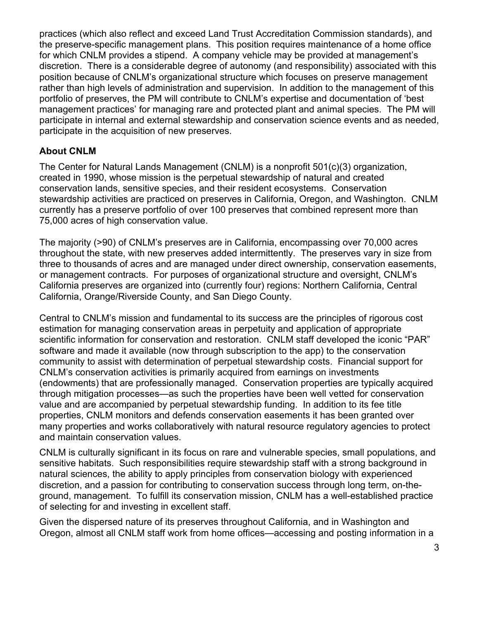practices (which also reflect and exceed Land Trust Accreditation Commission standards), and the preserve-specific management plans. This position requires maintenance of a home office for which CNLM provides a stipend. A company vehicle may be provided at management's discretion. There is a considerable degree of autonomy (and responsibility) associated with this position because of CNLM's organizational structure which focuses on preserve management rather than high levels of administration and supervision. In addition to the management of this portfolio of preserves, the PM will contribute to CNLM's expertise and documentation of 'best management practices' for managing rare and protected plant and animal species. The PM will participate in internal and external stewardship and conservation science events and as needed, participate in the acquisition of new preserves.

### **About CNLM**

The Center for Natural Lands Management (CNLM) is a nonprofit 501(c)(3) organization, created in 1990, whose mission is the perpetual stewardship of natural and created conservation lands, sensitive species, and their resident ecosystems. Conservation stewardship activities are practiced on preserves in California, Oregon, and Washington. CNLM currently has a preserve portfolio of over 100 preserves that combined represent more than 75,000 acres of high conservation value.

The majority (>90) of CNLM's preserves are in California, encompassing over 70,000 acres throughout the state, with new preserves added intermittently. The preserves vary in size from three to thousands of acres and are managed under direct ownership, conservation easements, or management contracts. For purposes of organizational structure and oversight, CNLM's California preserves are organized into (currently four) regions: Northern California, Central California, Orange/Riverside County, and San Diego County.

Central to CNLM's mission and fundamental to its success are the principles of rigorous cost estimation for managing conservation areas in perpetuity and application of appropriate scientific information for conservation and restoration. CNLM staff developed the iconic "PAR" software and made it available (now through subscription to the app) to the conservation community to assist with determination of perpetual stewardship costs. Financial support for CNLM's conservation activities is primarily acquired from earnings on investments (endowments) that are professionally managed. Conservation properties are typically acquired through mitigation processes—as such the properties have been well vetted for conservation value and are accompanied by perpetual stewardship funding. In addition to its fee title properties, CNLM monitors and defends conservation easements it has been granted over many properties and works collaboratively with natural resource regulatory agencies to protect and maintain conservation values.

CNLM is culturally significant in its focus on rare and vulnerable species, small populations, and sensitive habitats. Such responsibilities require stewardship staff with a strong background in natural sciences, the ability to apply principles from conservation biology with experienced discretion, and a passion for contributing to conservation success through long term, on-theground, management. To fulfill its conservation mission, CNLM has a well-established practice of selecting for and investing in excellent staff.

Given the dispersed nature of its preserves throughout California, and in Washington and Oregon, almost all CNLM staff work from home offices—accessing and posting information in a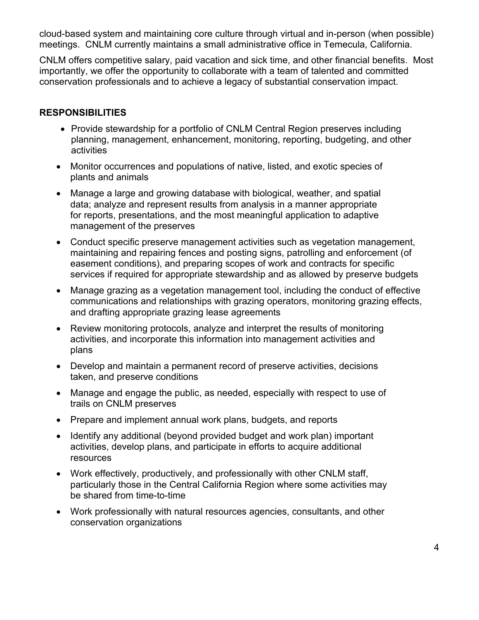cloud-based system and maintaining core culture through virtual and in-person (when possible) meetings. CNLM currently maintains a small administrative office in Temecula, California.

CNLM offers competitive salary, paid vacation and sick time, and other financial benefits. Most importantly, we offer the opportunity to collaborate with a team of talented and committed conservation professionals and to achieve a legacy of substantial conservation impact.

## **RESPONSIBILITIES**

- Provide stewardship for a portfolio of CNLM Central Region preserves including planning, management, enhancement, monitoring, reporting, budgeting, and other activities
- Monitor occurrences and populations of native, listed, and exotic species of plants and animals
- Manage a large and growing database with biological, weather, and spatial data; analyze and represent results from analysis in a manner appropriate for reports, presentations, and the most meaningful application to adaptive management of the preserves
- Conduct specific preserve management activities such as vegetation management, maintaining and repairing fences and posting signs, patrolling and enforcement (of easement conditions), and preparing scopes of work and contracts for specific services if required for appropriate stewardship and as allowed by preserve budgets
- Manage grazing as a vegetation management tool, including the conduct of effective communications and relationships with grazing operators, monitoring grazing effects, and drafting appropriate grazing lease agreements
- Review monitoring protocols, analyze and interpret the results of monitoring activities, and incorporate this information into management activities and plans
- Develop and maintain a permanent record of preserve activities, decisions taken, and preserve conditions
- Manage and engage the public, as needed, especially with respect to use of trails on CNLM preserves
- Prepare and implement annual work plans, budgets, and reports
- Identify any additional (beyond provided budget and work plan) important activities, develop plans, and participate in efforts to acquire additional resources
- Work effectively, productively, and professionally with other CNLM staff, particularly those in the Central California Region where some activities may be shared from time-to-time
- Work professionally with natural resources agencies, consultants, and other conservation organizations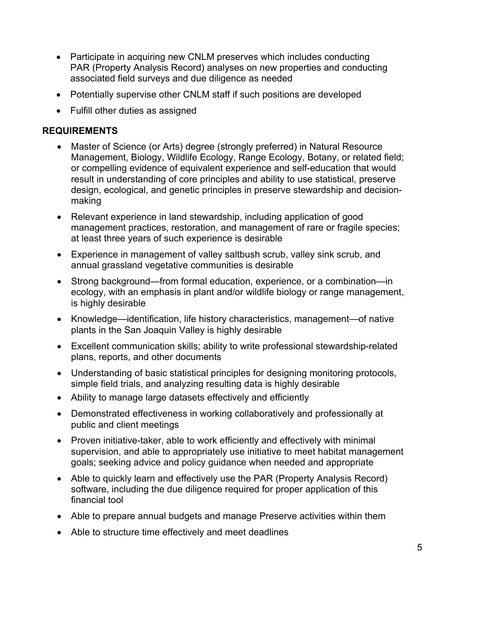- Participate in acquiring new CNLM preserves which includes conducting PAR (Property Analysis Record) analyses on new properties and conducting associated field surveys and due diligence as needed
- Potentially supervise other CNLM staff if such positions are developed
- Fulfill other duties as assigned

### **REQUIREMENTS**

- Master of Science (or Arts) degree (strongly preferred) in Natural Resource Management, Biology, Wildlife Ecology, Range Ecology, Botany, or related field; or compelling evidence of equivalent experience and self-education that would result in understanding of core principles and ability to use statistical, preserve design, ecological, and genetic principles in preserve stewardship and decisionmaking
- Relevant experience in land stewardship, including application of good management practices, restoration, and management of rare or fragile species; at least three years of such experience is desirable
- Experience in management of valley saltbush scrub, valley sink scrub, and annual grassland vegetative communities is desirable
- Strong background—from formal education, experience, or a combination—in ecology, with an emphasis in plant and/or wildlife biology or range management, is highly desirable
- Knowledge—identification, life history characteristics, management—of native plants in the San Joaquin Valley is highly desirable
- Excellent communication skills; ability to write professional stewardship-related plans, reports, and other documents
- Understanding of basic statistical principles for designing monitoring protocols, simple field trials, and analyzing resulting data is highly desirable
- Ability to manage large datasets effectively and efficiently
- Demonstrated effectiveness in working collaboratively and professionally at public and client meetings
- Proven initiative-taker, able to work efficiently and effectively with minimal supervision, and able to appropriately use initiative to meet habitat management goals; seeking advice and policy guidance when needed and appropriate
- Able to quickly learn and effectively use the PAR (Property Analysis Record) software, including the due diligence required for proper application of this financial tool
- Able to prepare annual budgets and manage Preserve activities within them
- Able to structure time effectively and meet deadlines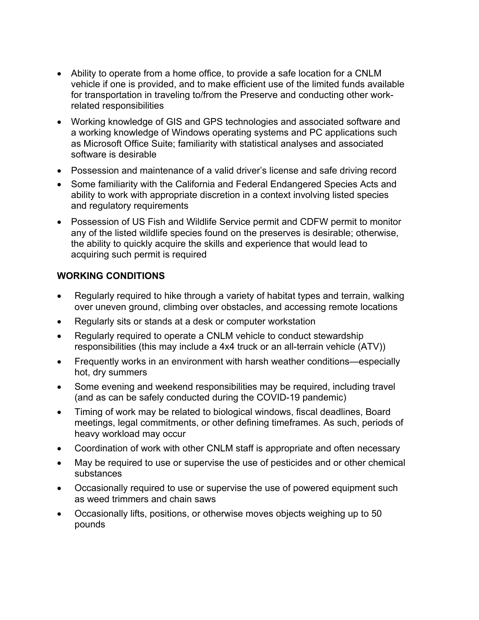- Ability to operate from a home office, to provide a safe location for a CNLM vehicle if one is provided, and to make efficient use of the limited funds available for transportation in traveling to/from the Preserve and conducting other workrelated responsibilities
- Working knowledge of GIS and GPS technologies and associated software and a working knowledge of Windows operating systems and PC applications such as Microsoft Office Suite; familiarity with statistical analyses and associated software is desirable
- Possession and maintenance of a valid driver's license and safe driving record
- Some familiarity with the California and Federal Endangered Species Acts and ability to work with appropriate discretion in a context involving listed species and regulatory requirements
- Possession of US Fish and Wildlife Service permit and CDFW permit to monitor any of the listed wildlife species found on the preserves is desirable; otherwise, the ability to quickly acquire the skills and experience that would lead to acquiring such permit is required

# **WORKING CONDITIONS**

- Regularly required to hike through a variety of habitat types and terrain, walking over uneven ground, climbing over obstacles, and accessing remote locations
- Regularly sits or stands at a desk or computer workstation
- Regularly required to operate a CNLM vehicle to conduct stewardship responsibilities (this may include a 4x4 truck or an all-terrain vehicle (ATV))
- Frequently works in an environment with harsh weather conditions—especially hot, dry summers
- Some evening and weekend responsibilities may be required, including travel (and as can be safely conducted during the COVID-19 pandemic)
- Timing of work may be related to biological windows, fiscal deadlines, Board meetings, legal commitments, or other defining timeframes. As such, periods of heavy workload may occur
- Coordination of work with other CNLM staff is appropriate and often necessary
- May be required to use or supervise the use of pesticides and or other chemical substances
- Occasionally required to use or supervise the use of powered equipment such as weed trimmers and chain saws
- Occasionally lifts, positions, or otherwise moves objects weighing up to 50 pounds